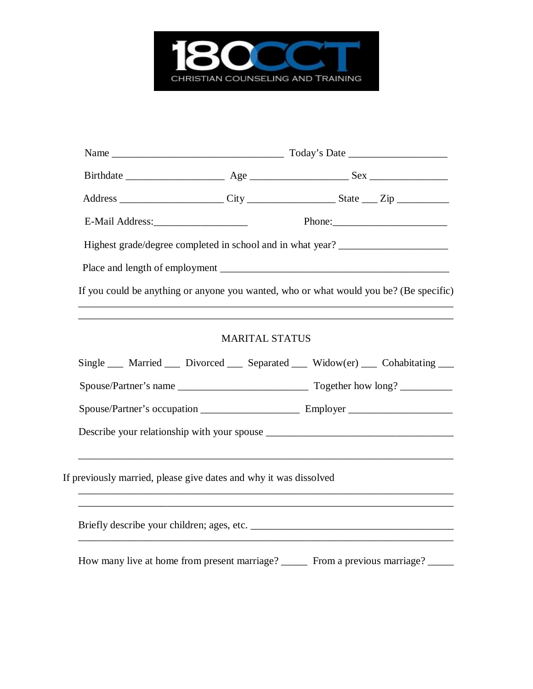

|                 | Address __________________________City _______________________State _____Zip _______________________ |  |  |
|-----------------|------------------------------------------------------------------------------------------------------|--|--|
| E-Mail Address: |                                                                                                      |  |  |
|                 | Highest grade/degree completed in school and in what year?                                           |  |  |
|                 |                                                                                                      |  |  |
|                 | If you could be anything or anyone you wanted, who or what would you be? (Be specific)               |  |  |
|                 |                                                                                                      |  |  |
|                 | <b>MARITAL STATUS</b>                                                                                |  |  |
|                 | Single Married Divorced Separated Widow(er) Cohabitating                                             |  |  |
|                 |                                                                                                      |  |  |
|                 |                                                                                                      |  |  |
|                 |                                                                                                      |  |  |
|                 |                                                                                                      |  |  |
|                 | If previously married, please give dates and why it was dissolved                                    |  |  |
|                 |                                                                                                      |  |  |
|                 |                                                                                                      |  |  |
|                 |                                                                                                      |  |  |
|                 | How many live at home from present marriage? ________ From a previous marriage? ______               |  |  |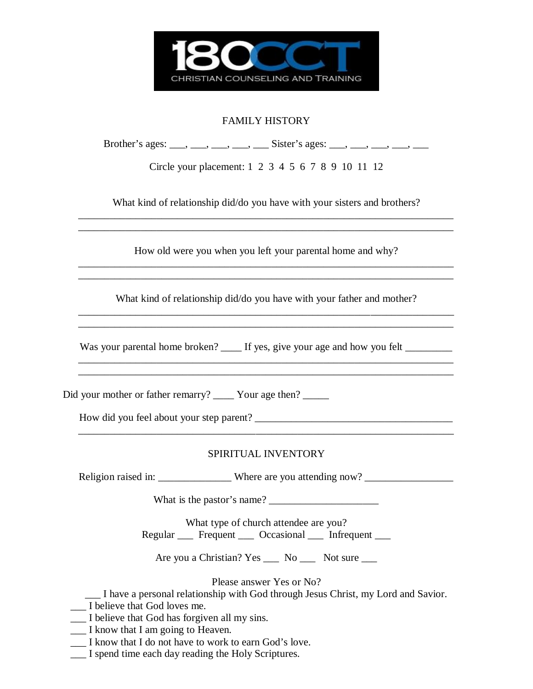

## FAMILY HISTORY

| Brother's ages: ____, ___, ___, ___, _____, Sister's ages: ___, ___, ___, ___, ___ |  |
|------------------------------------------------------------------------------------|--|
|                                                                                    |  |

Circle your placement: 1 2 3 4 5 6 7 8 9 10 11 12

What kind of relationship did/do you have with your sisters and brothers? \_\_\_\_\_\_\_\_\_\_\_\_\_\_\_\_\_\_\_\_\_\_\_\_\_\_\_\_\_\_\_\_\_\_\_\_\_\_\_\_\_\_\_\_\_\_\_\_\_\_\_\_\_\_\_\_\_\_\_\_\_\_\_\_\_\_\_\_\_\_\_\_

How old were you when you left your parental home and why? \_\_\_\_\_\_\_\_\_\_\_\_\_\_\_\_\_\_\_\_\_\_\_\_\_\_\_\_\_\_\_\_\_\_\_\_\_\_\_\_\_\_\_\_\_\_\_\_\_\_\_\_\_\_\_\_\_\_\_\_\_\_\_\_\_\_\_\_\_\_\_\_

\_\_\_\_\_\_\_\_\_\_\_\_\_\_\_\_\_\_\_\_\_\_\_\_\_\_\_\_\_\_\_\_\_\_\_\_\_\_\_\_\_\_\_\_\_\_\_\_\_\_\_\_\_\_\_\_\_\_\_\_\_\_\_\_\_\_\_\_\_\_\_\_

\_\_\_\_\_\_\_\_\_\_\_\_\_\_\_\_\_\_\_\_\_\_\_\_\_\_\_\_\_\_\_\_\_\_\_\_\_\_\_\_\_\_\_\_\_\_\_\_\_\_\_\_\_\_\_\_\_\_\_\_\_\_\_\_\_\_\_\_\_\_\_\_

What kind of relationship did/do you have with your father and mother? \_\_\_\_\_\_\_\_\_\_\_\_\_\_\_\_\_\_\_\_\_\_\_\_\_\_\_\_\_\_\_\_\_\_\_\_\_\_\_\_\_\_\_\_\_\_\_\_\_\_\_\_\_\_\_\_\_\_\_\_\_\_\_\_\_\_\_\_\_\_\_\_

\_\_\_\_\_\_\_\_\_\_\_\_\_\_\_\_\_\_\_\_\_\_\_\_\_\_\_\_\_\_\_\_\_\_\_\_\_\_\_\_\_\_\_\_\_\_\_\_\_\_\_\_\_\_\_\_\_\_\_\_\_\_\_\_\_\_\_\_\_\_\_\_

\_\_\_\_\_\_\_\_\_\_\_\_\_\_\_\_\_\_\_\_\_\_\_\_\_\_\_\_\_\_\_\_\_\_\_\_\_\_\_\_\_\_\_\_\_\_\_\_\_\_\_\_\_\_\_\_\_\_\_\_\_\_\_\_\_\_\_\_\_\_\_\_ \_\_\_\_\_\_\_\_\_\_\_\_\_\_\_\_\_\_\_\_\_\_\_\_\_\_\_\_\_\_\_\_\_\_\_\_\_\_\_\_\_\_\_\_\_\_\_\_\_\_\_\_\_\_\_\_\_\_\_\_\_\_\_\_\_\_\_\_\_\_\_\_

Was your parental home broken? \_\_\_\_ If yes, give your age and how you felt \_\_\_\_\_\_

Did your mother or father remarry? \_\_\_\_\_ Your age then? \_\_\_\_\_

How did you feel about your step parent? \_\_\_\_\_\_\_\_\_\_\_\_\_\_\_\_\_\_\_\_\_\_\_\_\_\_\_\_\_\_\_\_\_\_\_\_\_\_

#### SPIRITUAL INVENTORY

\_\_\_\_\_\_\_\_\_\_\_\_\_\_\_\_\_\_\_\_\_\_\_\_\_\_\_\_\_\_\_\_\_\_\_\_\_\_\_\_\_\_\_\_\_\_\_\_\_\_\_\_\_\_\_\_\_\_\_\_\_\_\_\_\_\_\_\_\_\_\_\_

Religion raised in: \_\_\_\_\_\_\_\_\_\_\_\_\_\_\_\_ Where are you attending now? \_\_\_\_\_\_\_\_\_\_\_\_\_\_

What is the pastor's name? \_\_\_\_\_\_\_\_\_\_\_\_\_\_\_\_\_\_\_\_\_

What type of church attendee are you? Regular \_\_\_ Frequent \_\_\_ Occasional \_\_ Infrequent \_\_\_

Are you a Christian? Yes \_\_\_ No \_\_\_ Not sure \_\_\_

Please answer Yes or No?

- \_\_\_ I have a personal relationship with God through Jesus Christ, my Lord and Savior.
- \_\_\_ I believe that God loves me.
- \_\_\_ I believe that God has forgiven all my sins.
- \_\_\_ I know that I am going to Heaven.
- \_\_\_ I know that I do not have to work to earn God's love.
- \_\_\_ I spend time each day reading the Holy Scriptures.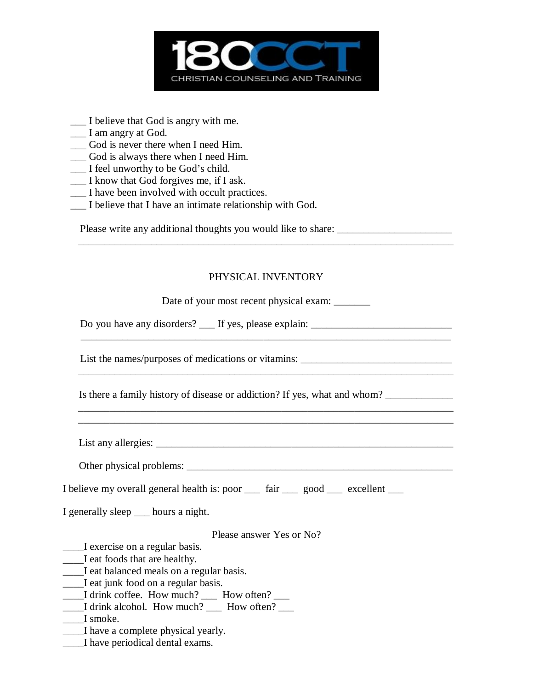

- \_\_\_ I believe that God is angry with me.
- \_\_\_ I am angry at God.
- \_\_\_ God is never there when I need Him.
- \_\_\_ God is always there when I need Him.
- \_\_\_ I feel unworthy to be God's child.
- \_\_\_ I know that God forgives me, if I ask.
- \_\_\_ I have been involved with occult practices.
- \_\_\_ I believe that I have an intimate relationship with God.

Please write any additional thoughts you would like to share: \_\_\_\_\_\_\_\_\_\_\_\_\_\_\_\_\_\_\_

### PHYSICAL INVENTORY

\_\_\_\_\_\_\_\_\_\_\_\_\_\_\_\_\_\_\_\_\_\_\_\_\_\_\_\_\_\_\_\_\_\_\_\_\_\_\_\_\_\_\_\_\_\_\_\_\_\_\_\_\_\_\_\_\_\_\_\_\_\_\_\_\_\_\_\_\_\_\_\_

| Date of your most recent physical exam:                                                                                             |
|-------------------------------------------------------------------------------------------------------------------------------------|
| Do you have any disorders? ___ If yes, please explain: _________________________                                                    |
| List the names/purposes of medications or vitamins: _____________________________                                                   |
| Is there a family history of disease or addiction? If yes, what and whom?                                                           |
| ,我们也不能在这里的人,我们也不能在这里的人,我们也不能在这里的人,我们也不能在这里的人,我们也不能在这里的人,我们也不能在这里的人,我们也不能在这里的人,我们                                                    |
|                                                                                                                                     |
|                                                                                                                                     |
| I believe my overall general health is: poor <u>fair good</u> good sections excellent good<br>I generally sleep ____ hours a night. |
| Please answer Yes or No?                                                                                                            |
| I exercise on a regular basis.                                                                                                      |
| I eat foods that are healthy.                                                                                                       |
| ____I eat balanced meals on a regular basis.                                                                                        |
| ____I eat junk food on a regular basis.                                                                                             |
| I drink coffee. How much? __ How often? __                                                                                          |
| ____I drink alcohol. How much? ____ How often? ___                                                                                  |
| I smoke.                                                                                                                            |
| I have a complete physical yearly.                                                                                                  |
|                                                                                                                                     |

\_\_\_\_I have periodical dental exams.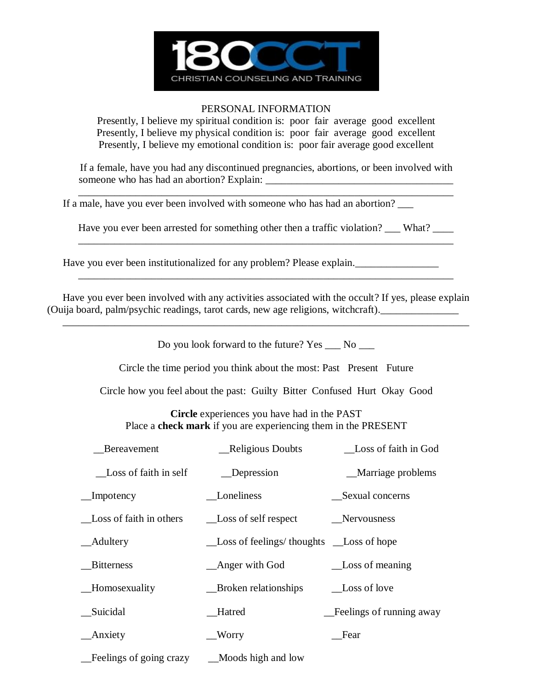

#### PERSONAL INFORMATION

Presently, I believe my spiritual condition is: poor fair average good excellent Presently, I believe my physical condition is: poor fair average good excellent Presently, I believe my emotional condition is: poor fair average good excellent

If a female, have you had any discontinued pregnancies, abortions, or been involved with someone who has had an abortion? Explain: \_\_\_\_\_\_\_\_\_\_\_\_\_\_\_\_\_\_\_\_\_\_\_\_\_\_\_\_\_\_\_\_\_\_\_\_

\_\_\_\_\_\_\_\_\_\_\_\_\_\_\_\_\_\_\_\_\_\_\_\_\_\_\_\_\_\_\_\_\_\_\_\_\_\_\_\_\_\_\_\_\_\_\_\_\_\_\_\_\_\_\_\_\_\_\_\_\_\_\_\_\_\_\_\_\_\_\_\_

If a male, have you ever been involved with someone who has had an abortion?

Have you ever been arrested for something other then a traffic violation? \_\_\_ What? \_\_\_ \_\_\_\_\_\_\_\_\_\_\_\_\_\_\_\_\_\_\_\_\_\_\_\_\_\_\_\_\_\_\_\_\_\_\_\_\_\_\_\_\_\_\_\_\_\_\_\_\_\_\_\_\_\_\_\_\_\_\_\_\_\_\_\_\_\_\_\_\_\_\_\_

Have you ever been institutionalized for any problem? Please explain.

Have you ever been involved with any activities associated with the occult? If yes, please explain (Ouija board, palm/psychic readings, tarot cards, new age religions, witchcraft).\_\_\_\_\_\_\_\_\_\_\_\_\_\_\_

\_\_\_\_\_\_\_\_\_\_\_\_\_\_\_\_\_\_\_\_\_\_\_\_\_\_\_\_\_\_\_\_\_\_\_\_\_\_\_\_\_\_\_\_\_\_\_\_\_\_\_\_\_\_\_\_\_\_\_\_\_\_\_\_\_\_\_\_\_\_\_\_

Do you look forward to the future? Yes  $\_\_$  No  $\_\_$ 

\_\_\_\_\_\_\_\_\_\_\_\_\_\_\_\_\_\_\_\_\_\_\_\_\_\_\_\_\_\_\_\_\_\_\_\_\_\_\_\_\_\_\_\_\_\_\_\_\_\_\_\_\_\_\_\_\_\_\_\_\_\_\_\_\_\_\_\_\_\_\_\_\_\_\_\_\_\_

Circle the time period you think about the most: Past Present Future

Circle how you feel about the past: Guilty Bitter Confused Hurt Okay Good

**Circle** experiences you have had in the PAST Place a **check mark** if you are experiencing them in the PRESENT

| Bereavement             | <b>Religious Doubts</b>                   | Loss of faith in God     |
|-------------------------|-------------------------------------------|--------------------------|
| Loss of faith in self   | Depression                                | _Marriage problems       |
| Impotency               | Loneliness                                | Sexual concerns          |
| Loss of faith in others | Loss of self respect                      | Nervousness              |
| <b>Adultery</b>         | Loss of feelings/ thoughts __Loss of hope |                          |
| <b>Bitterness</b>       | _Anger with God                           | _Loss of meaning         |
| <b>Homosexuality</b>    | Broken relationships                      | Loss of love             |
| Suicidal                | <b>Hatred</b>                             | Feelings of running away |
| <b>Anxiety</b>          | __Worry                                   | Fear                     |
| Feelings of going crazy | Moods high and low                        |                          |